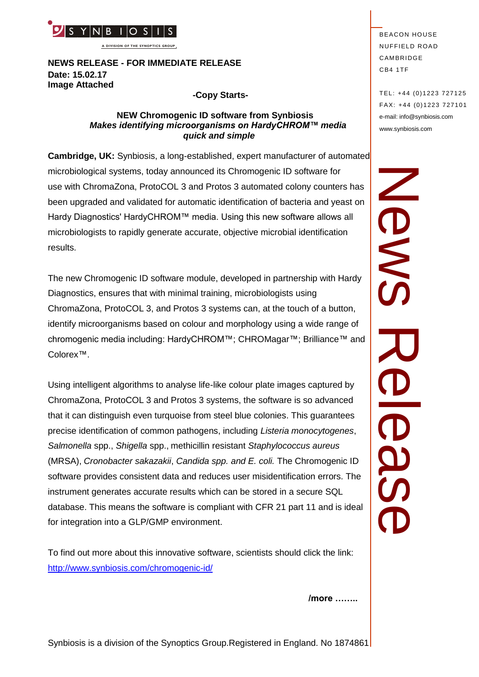

**A DIVISION OF THE SYNOPTICS GROUP**

**NEWS RELEASE - FOR IMMEDIATE RELEASE Date: 15.02.17 Image Attached** 

#### **-Copy Starts-**

#### **NEW Chromogenic ID software from Synbiosis** *Makes identifying microorganisms on HardyCHROM™ media quick and simple*

**Cambridge, UK:** Synbiosis, a long-established, expert manufacturer of automated microbiological systems, today announced its Chromogenic ID software for use with ChromaZona, ProtoCOL 3 and Protos 3 automated colony counters has been upgraded and validated for automatic identification of bacteria and yeast on Hardy Diagnostics' HardyCHROM™ media. Using this new software allows all microbiologists to rapidly generate accurate, objective microbial identification results.

The new Chromogenic ID software module, developed in partnership with Hardy Diagnostics, ensures that with minimal training, microbiologists using ChromaZona, ProtoCOL 3, and Protos 3 systems can, at the touch of a button, identify microorganisms based on colour and morphology using a wide range of chromogenic media including: HardyCHROM™; CHROMagar™; Brilliance™ and Colorex™.

**PERICUS IN THE SET AND ANDERE THE SYNOPT CONSULTS IS a division of the Synoptics Group. Registered in England. No 1874861<br>
Mews RELEASE - FOR IMMEDIATE RELEASE<br>
Makes identifying microorganisms on HardyCHROM<sup>m</sup> media<br>
Cam** Using intelligent algorithms to analyse life-like colour plate images captured by ChromaZona, ProtoCOL 3 and Protos 3 systems, the software is so advanced that it can distinguish even turquoise from steel blue colonies. This guarantees precise identification of common pathogens, including *Listeria monocytogenes*, *Salmonella* spp., *Shigella* spp., methicillin resistant *Staphylococcus aureus* (MRSA), *Cronobacter sakazakii*, *Candida spp. and E. coli.* The Chromogenic ID software provides consistent data and reduces user misidentification errors. The instrument generates accurate results which can be stored in a secure SQL database. This means the software is compliant with CFR 21 part 11 and is ideal for integration into a GLP/GMP environment.

To find out more about this innovative software, scientists should click the link: <http://www.synbiosis.com/chromogenic-id/>

BEACON HOUSE **NUFFIELD ROAD** CAMBRIDGE CB4 1TF

TEL: +44 (0)1223 727125 FA X: +44 (0)1223 727101 e-mail: info@synbiosis.com www.synbiosis.com

News Rease RONS **OSS** 

**/more ……..**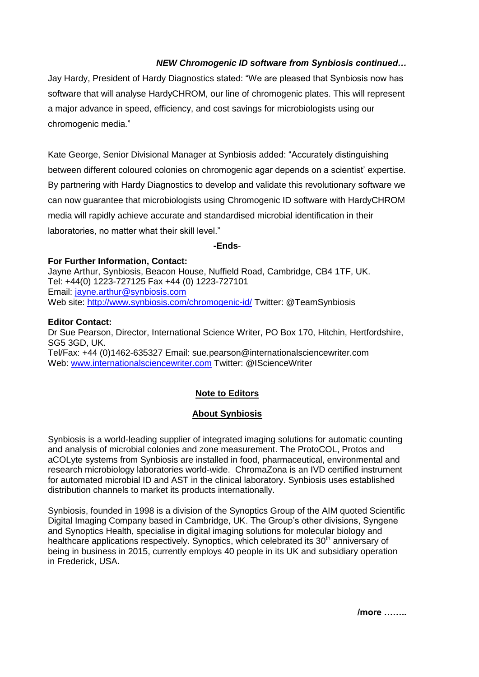# *NEW Chromogenic ID software from Synbiosis continued…*

Jay Hardy, President of Hardy Diagnostics stated: "We are pleased that Synbiosis now has software that will analyse HardyCHROM, our line of chromogenic plates. This will represent a major advance in speed, efficiency, and cost savings for microbiologists using our chromogenic media."

Kate George, Senior Divisional Manager at Synbiosis added: "Accurately distinguishing between different coloured colonies on chromogenic agar depends on a scientist' expertise. By partnering with Hardy Diagnostics to develop and validate this revolutionary software we can now guarantee that microbiologists using Chromogenic ID software with HardyCHROM media will rapidly achieve accurate and standardised microbial identification in their laboratories, no matter what their skill level."

#### **-Ends**-

### **For Further Information, Contact:**

Jayne Arthur, Synbiosis, Beacon House, Nuffield Road, Cambridge, CB4 1TF, UK. Tel: +44(0) 1223-727125 Fax +44 (0) 1223-727101 Email: [jayne.arthur@synbiosis.com](mailto:jayne.arthur@synbiosis.com) Web site:<http://www.synbiosis.com/chromogenic-id/> Twitter: @TeamSynbiosis

### **Editor Contact:**

Dr Sue Pearson, Director, International Science Writer, PO Box 170, Hitchin, Hertfordshire, SG5 3GD, UK. Tel/Fax: +44 (0)1462-635327 Email: sue.pearson@internationalsciencewriter.com Web: [www.internationalsciencewriter.com](http://www.internationalsciencewriter.com/) Twitter: @IScienceWriter

# **Note to Editors**

## **About Synbiosis**

Synbiosis is a world-leading supplier of integrated imaging solutions for automatic counting and analysis of microbial colonies and zone measurement. The ProtoCOL, Protos and aCOLyte systems from Synbiosis are installed in food, pharmaceutical, environmental and research microbiology laboratories world-wide. ChromaZona is an IVD certified instrument for automated microbial ID and AST in the clinical laboratory. Synbiosis uses established distribution channels to market its products internationally.

Synbiosis, founded in 1998 is a division of the Synoptics Group of the AIM quoted Scientific Digital Imaging Company based in Cambridge, UK. The Group's other divisions, Syngene and Synoptics Health, specialise in digital imaging solutions for molecular biology and healthcare applications respectively. Synoptics, which celebrated its 30<sup>th</sup> anniversary of being in business in 2015, currently employs 40 people in its UK and subsidiary operation in Frederick, USA.